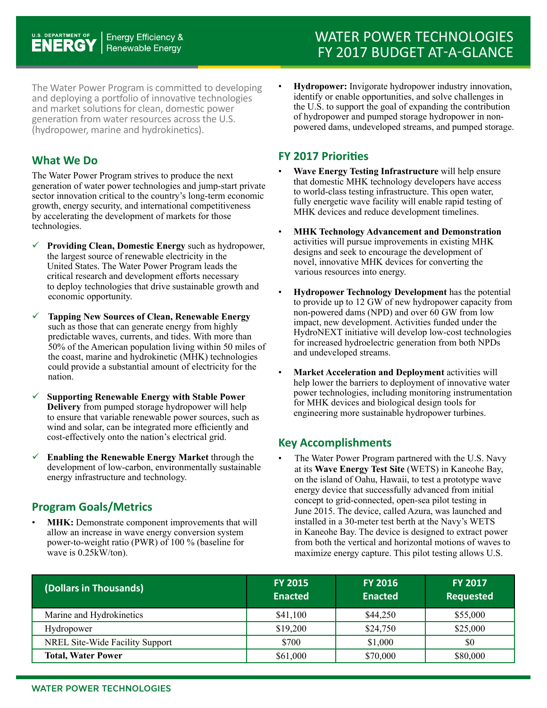The Water Power Program is committed to developing and deploying a portfolio of innovative technologies and market solutions for clean, domestic power generation from water resources across the U.S. (hydropower, marine and hydrokinetics).

#### **What We Do**

The Water Power Program strives to produce the next generation of water power technologies and jump-start private sector innovation critical to the country's long-term economic growth, energy security, and international competitiveness by accelerating the development of markets for those technologies.

- **Providing Clean, Domestic Energy** such as hydropower, the largest source of renewable electricity in the United States. The Water Power Program leads the critical research and development efforts necessary to deploy technologies that drive sustainable growth and economic opportunity.
- **Tapping New Sources of Clean, Renewable Energy** such as those that can generate energy from highly predictable waves, currents, and tides. With more than 50% of the American population living within 50 miles of the coast, marine and hydrokinetic (MHK) technologies could provide a substantial amount of electricity for the nation.
- **Supporting Renewable Energy with Stable Power Delivery** from pumped storage hydropower will help to ensure that variable renewable power sources, such as wind and solar, can be integrated more efficiently and cost-effectively onto the nation's electrical grid.
- **Enabling the Renewable Energy Market** through the development of low-carbon, environmentally sustainable energy infrastructure and technology.

## **Program Goals/Metrics**

**MHK:** Demonstrate component improvements that will allow an increase in wave energy conversion system power-to-weight ratio (PWR) of 100 % (baseline for wave is 0.25kW/ton).

• **Hydropower:** Invigorate hydropower industry innovation, identify or enable opportunities, and solve challenges in the U.S. to support the goal of expanding the contribution of hydropower and pumped storage hydropower in nonpowered dams, undeveloped streams, and pumped storage.

### **FY 2017 Priorities**

- **Wave Energy Testing Infrastructure** will help ensure that domestic MHK technology developers have access to world-class testing infrastructure. This open water, fully energetic wave facility will enable rapid testing of MHK devices and reduce development timelines.
- **MHK Technology Advancement and Demonstration**  activities will pursue improvements in existing MHK designs and seek to encourage the development of novel, innovative MHK devices for converting the various resources into energy.
- **Hydropower Technology Development** has the potential to provide up to 12 GW of new hydropower capacity from non-powered dams (NPD) and over 60 GW from low impact, new development. Activities funded under the HydroNEXT initiative will develop low-cost technologies for increased hydroelectric generation from both NPDs and undeveloped streams.
- **Market Acceleration and Deployment** activities will help lower the barriers to deployment of innovative water power technologies, including monitoring instrumentation for MHK devices and biological design tools for engineering more sustainable hydropower turbines.

# **Key Accomplishments**

The Water Power Program partnered with the U.S. Navy at its **Wave Energy Test Site** (WETS) in Kaneohe Bay, on the island of Oahu, Hawaii, to test a prototype wave energy device that successfully advanced from initial concept to grid-connected, open-sea pilot testing in June 2015. The device, called Azura, was launched and installed in a 30-meter test berth at the Navy's WETS in Kaneohe Bay. The device is designed to extract power from both the vertical and horizontal motions of waves to maximize energy capture. This pilot testing allows U.S.

| (Dollars in Thousands)          | <b>FY 2015</b><br><b>Enacted</b> | <b>FY 2016</b><br><b>Enacted</b> | <b>FY 2017</b><br><b>Requested</b> |
|---------------------------------|----------------------------------|----------------------------------|------------------------------------|
| Marine and Hydrokinetics        | \$41,100                         | \$44,250                         | \$55,000                           |
| Hydropower                      | \$19,200                         | \$24,750                         | \$25,000                           |
| NREL Site-Wide Facility Support | \$700                            | \$1,000                          | \$0                                |
| <b>Total, Water Power</b>       | \$61,000                         | \$70,000                         | \$80,000                           |